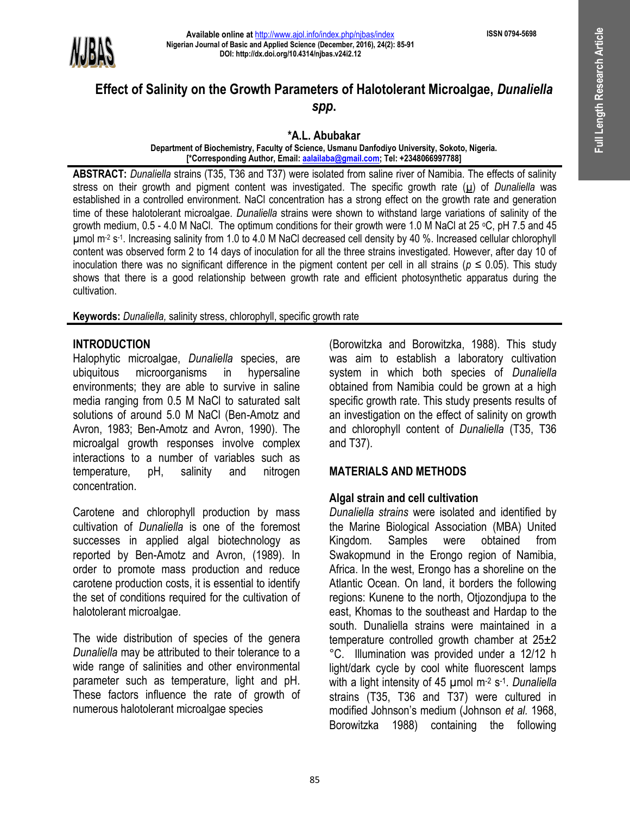

# **Effect of Salinity on the Growth Parameters of Halotolerant Microalgae,** *Dunaliella spp***.**

**\*A.L. Abubakar**

**Department of Biochemistry, Faculty of Science, Usmanu Danfodiyo University, Sokoto, Nigeria. [\*Corresponding Author, Email: aalailaba@gmail.com; Tel: +2348066997788]** 

**ABSTRACT:** *Dunaliella* strains (T35, T36 and T37) were isolated from saline river of Namibia. The effects of salinity stress on their growth and pigment content was investigated. The specific growth rate (u) of *Dunaliella* was established in a controlled environment. NaCl concentration has a strong effect on the growth rate and generation time of these halotolerant microalgae. *Dunaliella* strains were shown to withstand large variations of salinity of the growth medium, 0.5 - 4.0 M NaCl. The optimum conditions for their growth were 1.0 M NaCl at 25 <sup>o</sup>C, pH 7.5 and 45 µmol m-2 s -1 . Increasing salinity from 1.0 to 4.0 M NaCl decreased cell density by 40 %. Increased cellular chlorophyll content was observed form 2 to 14 days of inoculation for all the three strains investigated. However, after day 10 of inoculation there was no significant difference in the pigment content per cell in all strains ( $p \le 0.05$ ). This study shows that there is a good relationship between growth rate and efficient photosynthetic apparatus during the cultivation.

**Keywords:** *Dunaliella,* salinity stress, chlorophyll, specific growth rate

### **INTRODUCTION**

Halophytic microalgae, *Dunaliella* species, are ubiquitous microorganisms in hypersaline environments; they are able to survive in saline media ranging from 0.5 M NaCl to saturated salt solutions of around 5.0 M NaCl (Ben-Amotz and Avron, 1983; Ben-Amotz and Avron, 1990). The microalgal growth responses involve complex interactions to a number of variables such as temperature, pH, salinity and nitrogen concentration.

Carotene and chlorophyll production by mass cultivation of *Dunaliella* is one of the foremost successes in applied algal biotechnology as reported by Ben-Amotz and Avron, (1989). In order to promote mass production and reduce carotene production costs, it is essential to identify the set of conditions required for the cultivation of halotolerant microalgae.

The wide distribution of species of the genera *Dunaliella* may be attributed to their tolerance to a wide range of salinities and other environmental parameter such as temperature, light and pH. These factors influence the rate of growth of numerous halotolerant microalgae species

(Borowitzka and Borowitzka, 1988). This study was aim to establish a laboratory cultivation system in which both species of *Dunaliella*  obtained from Namibia could be grown at a high specific growth rate. This study presents results of an investigation on the effect of salinity on growth and chlorophyll content of *Dunaliella* (T35, T36 and T37).

### **MATERIALS AND METHODS**

### **Algal strain and cell cultivation**

*Dunaliella strains* were isolated and identified by the Marine Biological Association (MBA) United Kingdom. Samples were obtained from Swakopmund in the Erongo region of Namibia, Africa. In the west, Erongo has a shoreline on the Atlantic Ocean. On land, it borders the following regions: Kunene to the north, Otjozondjupa to the east, Khomas to the southeast and Hardap to the south. Dunaliella strains were maintained in a temperature controlled growth chamber at 25±2 °C. Illumination was provided under a 12/12 h light/dark cycle by cool white fluorescent lamps with a light intensity of 45 µmol m<sup>-2</sup> s<sup>-1</sup>. Dunaliella strains (T35, T36 and T37) were cultured in modified Johnson's medium (Johnson *et al.* 1968, Borowitzka 1988) containing the following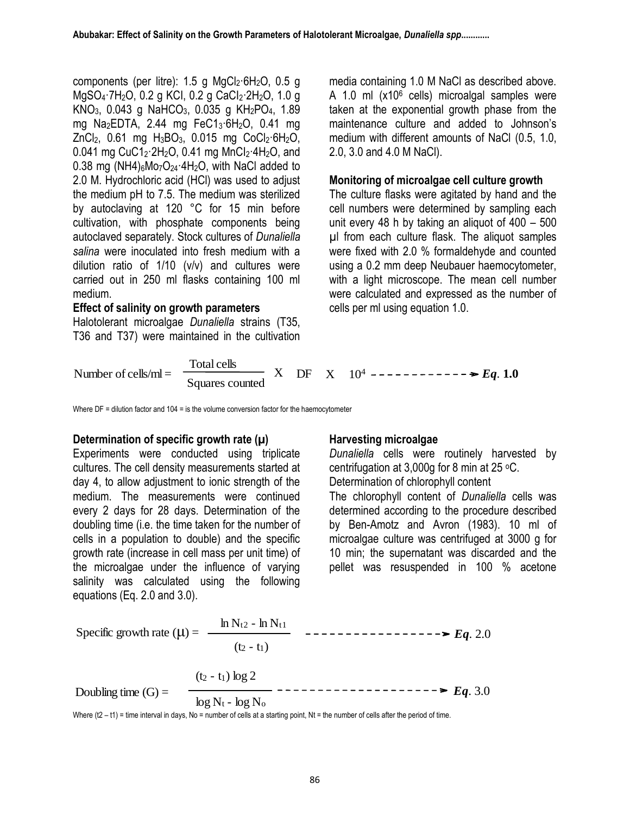components (per litre):  $1.5$  g MgCl<sub>2</sub>·6H<sub>2</sub>O, 0.5 g MgSO<sub>4</sub>·7H<sub>2</sub>O, 0.2 g KCI, 0.2 g CaCI<sub>2</sub>·2H<sub>2</sub>O, 1.0 g KNO3, 0.043 g NaHCO3, 0.035 g KH2PO4, 1.89 mg Na2EDTA, 2.44 mg FeC13·6H2O, 0.41 mg  $ZnCl<sub>2</sub>$ , 0.61 mg  $H<sub>3</sub>BO<sub>3</sub>$ , 0.015 mg CoCl<sub>2</sub>·6H<sub>2</sub>O, 0.041 mg CuC1<sub>2</sub>·2H<sub>2</sub>O, 0.41 mg MnCl<sub>2</sub>·4H<sub>2</sub>O, and 0.38 mg (NH4) $_6$ Mo<sub>7</sub>O<sub>24</sub> 4H<sub>2</sub>O, with NaCl added to 2.0 M. Hydrochloric acid (HCl) was used to adjust the medium pH to 7.5. The medium was sterilized by autoclaving at 120 °C for 15 min before cultivation, with phosphate components being autoclaved separately. Stock cultures of *Dunaliella salina* were inoculated into fresh medium with a dilution ratio of 1/10 (v/v) and cultures were carried out in 250 ml flasks containing 100 ml medium.

#### **Effect of salinity on growth parameters**

Halotolerant microalgae *Dunaliella* strains (T35, T36 and T37) were maintained in the cultivation media containing 1.0 M NaCl as described above. A 1.0 ml (x10<sup>6</sup> cells) microalgal samples were taken at the exponential growth phase from the maintenance culture and added to Johnson's medium with different amounts of NaCl (0.5, 1.0, 2.0, 3.0 and 4.0 M NaCl).

### **Monitoring of microalgae cell culture growth**

The culture flasks were agitated by hand and the cell numbers were determined by sampling each unit every 48 h by taking an aliquot of 400 – 500 µl from each culture flask. The aliquot samples were fixed with 2.0 % formaldehyde and counted using a 0.2 mm deep Neubauer haemocytometer, with a light microscope. The mean cell number were calculated and expressed as the number of cells per ml using equation 1.0.

Number of cells/ml = 
$$
\frac{\text{Total cells}}{\text{Squares counted}} \quad \text{X} \quad \text{DF} \quad \text{X} \quad 10^4 \quad \text{---} \quad \text{---} \quad \text{---} \quad \text{---} \quad \text{Eq. 1.0}
$$

Where  $DF =$  dilution factor and  $104 =$  is the volume conversion factor for the haemocytometer

#### **Determination of specific growth rate (µ)**

Experiments were conducted using triplicate cultures. The cell density measurements started at day 4, to allow adjustment to ionic strength of the medium. The measurements were continued every 2 days for 28 days. Determination of the doubling time (i.e. the time taken for the number of cells in a population to double) and the specific growth rate (increase in cell mass per unit time) of the microalgae under the influence of varying salinity was calculated using the following equations (Eq. 2.0 and 3.0).

### **Harvesting microalgae**

*Dunaliella* cells were routinely harvested by centrifugation at 3,000g for 8 min at 25 °C. Determination of chlorophyll content The chlorophyll content of *Dunaliella* cells was determined according to the procedure described by Ben-Amotz and Avron (1983). 10 ml of microalgae culture was centrifuged at 3000 g for 10 min; the supernatant was discarded and the pellet was resuspended in 100 % acetone

between the squations (Eq. 2.0 and 3.0).<br>Specific growth rate  $(\mu) = \frac{\ln N_{t2} - \ln N_{t1}}{1 - \frac{1}{2} - \frac{1}{2} - \frac{1}{2} - \frac{1}{2} - \frac{1}{2} - \frac{1}{2} - \frac{1}{2} - \frac{1}{2} - \frac{1}{2} - \frac{1}{2} - \frac{1}{2} - \frac{1}{2} - \frac{1}{2} - \frac{1}{2} - \frac{1}{2} - \frac{1}{2} - \frac{1}{2$  $(t_2 - t_1)$ Doubling time  $(G) =$   $\longrightarrow$   $\longrightarrow$   $\longrightarrow$   $\longrightarrow$   $\longrightarrow$   $\longrightarrow$   $\longrightarrow$   $Eq. 3.0$  $(t_2 - t_1) \log 2$  $\log N_t$  -  $\log N_0$ 

Where  $(t2 - t1)$  = time interval in days, No = number of cells at a starting point, Nt = the number of cells after the period of time.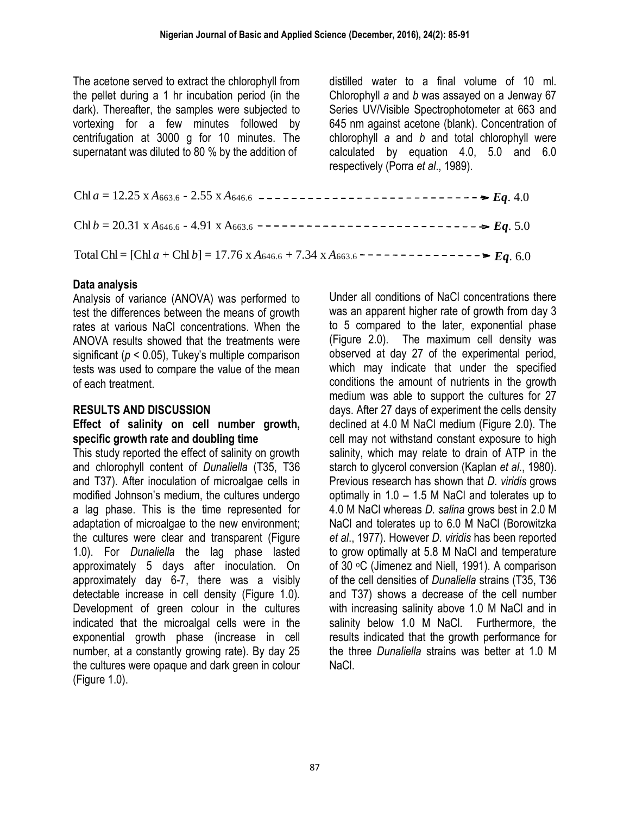The acetone served to extract the chlorophyll from the pellet during a 1 hr incubation period (in the dark). Thereafter, the samples were subjected to vortexing for a few minutes followed by centrifugation at 3000 g for 10 minutes. The supernatant was diluted to 80 % by the addition of

distilled water to a final volume of 10 ml. Chlorophyll *a* and *b* was assayed on a Jenway 67 Series UV/Visible Spectrophotometer at 663 and 645 nm against acetone (blank). Concentration of chlorophyll *a* and *b* and total chlorophyll were calculated by equation 4.0, 5.0 and 6.0 respectively (Porra *et al*., 1989).

| Chl $a = 12.25$ x $A_{663.6}$ - 2.55 x $A_{646.6}$ ----------------------------- $\geq Eq. 4.0$                            |  |
|----------------------------------------------------------------------------------------------------------------------------|--|
|                                                                                                                            |  |
| Total Chl = [Chl a + Chl b] = 17.76 x A <sub>646.6</sub> + 7.34 x A <sub>663.6</sub> - - - - - - - - - - - - - - > Eq. 6.0 |  |

### **Data analysis**

Analysis of variance (ANOVA) was performed to test the differences between the means of growth rates at various NaCl concentrations. When the ANOVA results showed that the treatments were significant (*p* < 0.05), Tukey's multiple comparison tests was used to compare the value of the mean of each treatment.

### **RESULTS AND DISCUSSION**

#### **Effect of salinity on cell number growth, specific growth rate and doubling time**

This study reported the effect of salinity on growth and chlorophyll content of *Dunaliella* (T35, T36 and T37). After inoculation of microalgae cells in modified Johnson's medium, the cultures undergo a lag phase. This is the time represented for adaptation of microalgae to the new environment; the cultures were clear and transparent (Figure 1.0). For *Dunaliella* the lag phase lasted approximately 5 days after inoculation. On approximately day 6-7, there was a visibly detectable increase in cell density (Figure 1.0). Development of green colour in the cultures indicated that the microalgal cells were in the exponential growth phase (increase in cell number, at a constantly growing rate). By day 25 the cultures were opaque and dark green in colour (Figure 1.0).

Under all conditions of NaCl concentrations there was an apparent higher rate of growth from day 3 to 5 compared to the later, exponential phase (Figure 2.0). The maximum cell density was observed at day 27 of the experimental period, which may indicate that under the specified conditions the amount of nutrients in the growth medium was able to support the cultures for 27 days. After 27 days of experiment the cells density declined at 4.0 M NaCl medium (Figure 2.0). The cell may not withstand constant exposure to high salinity, which may relate to drain of ATP in the starch to glycerol conversion (Kaplan *et al*., 1980). Previous research has shown that *D. viridis* grows optimally in 1.0 – 1.5 M NaCl and tolerates up to 4.0 M NaCl whereas *D. salina* grows best in 2.0 M NaCl and tolerates up to 6.0 M NaCl (Borowitzka *et al*., 1977). However *D. viridis* has been reported to grow optimally at 5.8 M NaCl and temperature of 30 <sup>o</sup>C (Jimenez and Niell, 1991). A comparison of the cell densities of *Dunaliella* strains (T35, T36 and T37) shows a decrease of the cell number with increasing salinity above 1.0 M NaCl and in salinity below 1.0 M NaCl. Furthermore, the results indicated that the growth performance for the three *Dunaliella* strains was better at 1.0 M NaCl.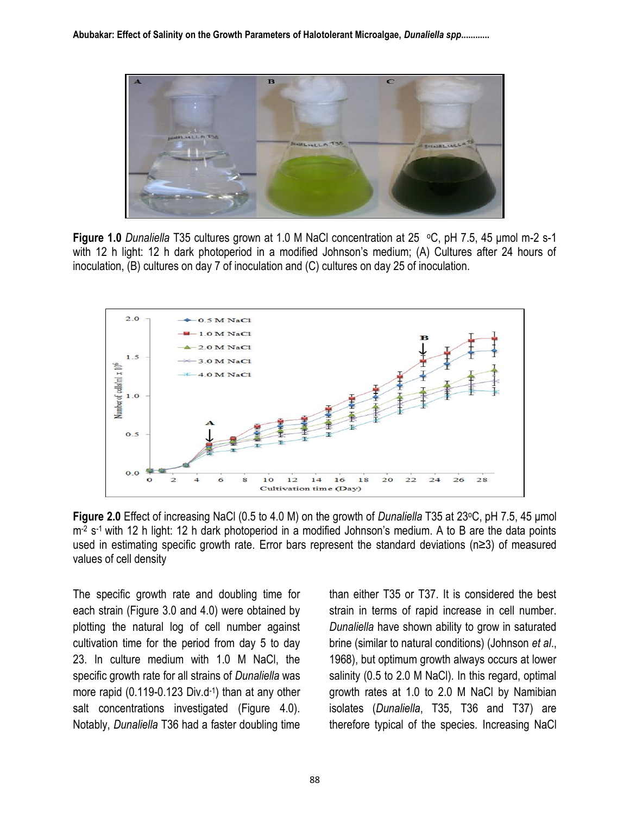

**Figure 1.0** *Dunaliella* T35 cultures grown at 1.0 M NaCl concentration at 25 oC, pH 7.5, 45 μmol m-2 s-1 with 12 h light: 12 h dark photoperiod in a modified Johnson's medium; (A) Cultures after 24 hours of inoculation, (B) cultures on day 7 of inoculation and (C) cultures on day 25 of inoculation.



**Figure 2.0** Effect of increasing NaCl (0.5 to 4.0 M) on the growth of *Dunaliella* T35 at 23 °C, pH 7.5, 45 µmol m<sup>-2</sup> s<sup>-1</sup> with 12 h light: 12 h dark photoperiod in a modified Johnson's medium. A to B are the data points used in estimating specific growth rate. Error bars represent the standard deviations (n≥3) of measured values of cell density

The specific growth rate and doubling time for each strain (Figure 3.0 and 4.0) were obtained by plotting the natural log of cell number against cultivation time for the period from day 5 to day 23. In culture medium with 1.0 M NaCl, the specific growth rate for all strains of *Dunaliella* was more rapid (0.119-0.123 Div.d-1 ) than at any other salt concentrations investigated (Figure 4.0). Notably, *Dunaliella* T36 had a faster doubling time than either T35 or T37. It is considered the best strain in terms of rapid increase in cell number. *Dunaliella* have shown ability to grow in saturated brine (similar to natural conditions) (Johnson *et al*., 1968), but optimum growth always occurs at lower salinity (0.5 to 2.0 M NaCl). In this regard, optimal growth rates at 1.0 to 2.0 M NaCl by Namibian isolates (*Dunaliella*, T35, T36 and T37) are therefore typical of the species. Increasing NaCl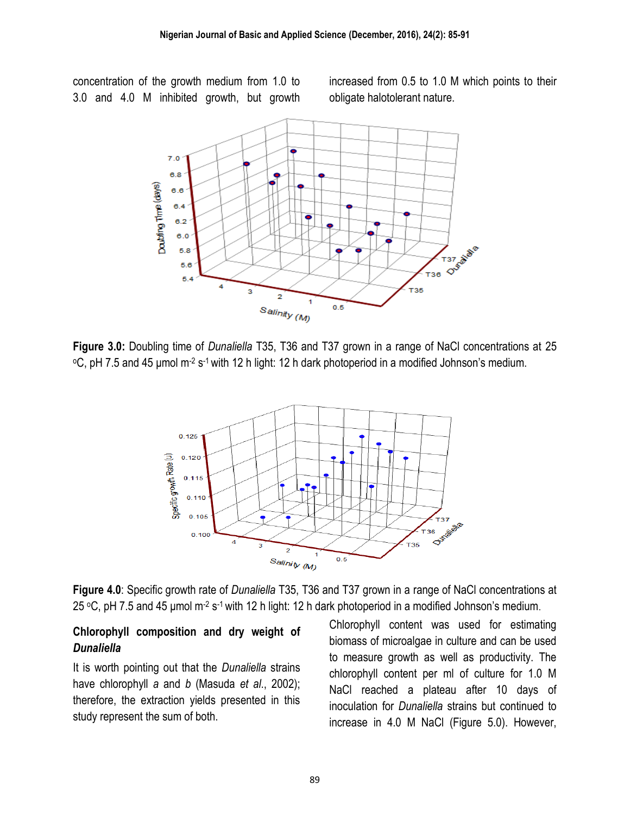concentration of the growth medium from 1.0 to 3.0 and 4.0 M inhibited growth, but growth increased from 0.5 to 1.0 M which points to their obligate halotolerant nature.



**Figure 3.0:** Doubling time of *Dunaliella* T35, T36 and T37 grown in a range of NaCl concentrations at 25 <sup>o</sup>C, pH 7.5 and 45 μmol m<sup>-2</sup> s<sup>-1</sup> with 12 h light: 12 h dark photoperiod in a modified Johnson's medium.



**Figure 4.0**: Specific growth rate of *Dunaliella* T35, T36 and T37 grown in a range of NaCl concentrations at 25 °C, pH 7.5 and 45 µmol m<sup>-2</sup> s<sup>-1</sup> with 12 h light: 12 h dark photoperiod in a modified Johnson's medium.

## **Chlorophyll composition and dry weight of** *Dunaliella*

It is worth pointing out that the *Dunaliella* strains have chlorophyll *a* and *b* (Masuda *et al*., 2002); therefore, the extraction yields presented in this study represent the sum of both.

Chlorophyll content was used for estimating biomass of microalgae in culture and can be used to measure growth as well as productivity. The chlorophyll content per ml of culture for 1.0 M NaCl reached a plateau after 10 days of inoculation for *Dunaliella* strains but continued to increase in 4.0 M NaCl (Figure 5.0). However,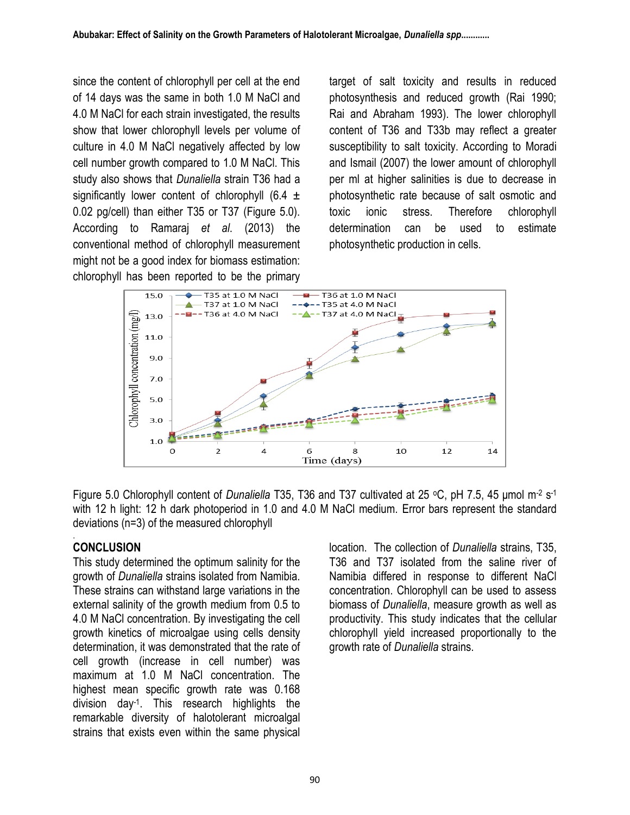since the content of chlorophyll per cell at the end of 14 days was the same in both 1.0 M NaCl and 4.0 M NaCl for each strain investigated, the results show that lower chlorophyll levels per volume of culture in 4.0 M NaCl negatively affected by low cell number growth compared to 1.0 M NaCl. This study also shows that *Dunaliella* strain T36 had a significantly lower content of chlorophyll (6.4  $\pm$ 0.02 pg/cell) than either T35 or T37 (Figure 5.0). According to Ramaraj *et al*. (2013) the conventional method of chlorophyll measurement might not be a good index for biomass estimation: chlorophyll has been reported to be the primary target of salt toxicity and results in reduced photosynthesis and reduced growth (Rai 1990; Rai and Abraham 1993). The lower chlorophyll content of T36 and T33b may reflect a greater susceptibility to salt toxicity. According to Moradi and Ismail (2007) the lower amount of chlorophyll per ml at higher salinities is due to decrease in photosynthetic rate because of salt osmotic and toxic ionic stress. Therefore chlorophyll determination can be used to estimate photosynthetic production in cells.



Figure 5.0 Chlorophyll content of *Dunaliella* T35, T36 and T37 cultivated at 25 °C, pH 7.5, 45 μmol m<sup>-2</sup> s<sup>-1</sup> with 12 h light: 12 h dark photoperiod in 1.0 and 4.0 M NaCl medium. Error bars represent the standard deviations (n=3) of the measured chlorophyll

#### . **CONCLUSION**

This study determined the optimum salinity for the growth of *Dunaliella* strains isolated from Namibia. These strains can withstand large variations in the external salinity of the growth medium from 0.5 to 4.0 M NaCl concentration. By investigating the cell growth kinetics of microalgae using cells density determination, it was demonstrated that the rate of cell growth (increase in cell number) was maximum at 1.0 M NaCl concentration. The highest mean specific growth rate was 0.168 division day-1 . This research highlights the remarkable diversity of halotolerant microalgal strains that exists even within the same physical location. The collection of *Dunaliella* strains, T35, T36 and T37 isolated from the saline river of Namibia differed in response to different NaCl concentration. Chlorophyll can be used to assess biomass of *Dunaliella*, measure growth as well as productivity. This study indicates that the cellular chlorophyll yield increased proportionally to the growth rate of *Dunaliella* strains.